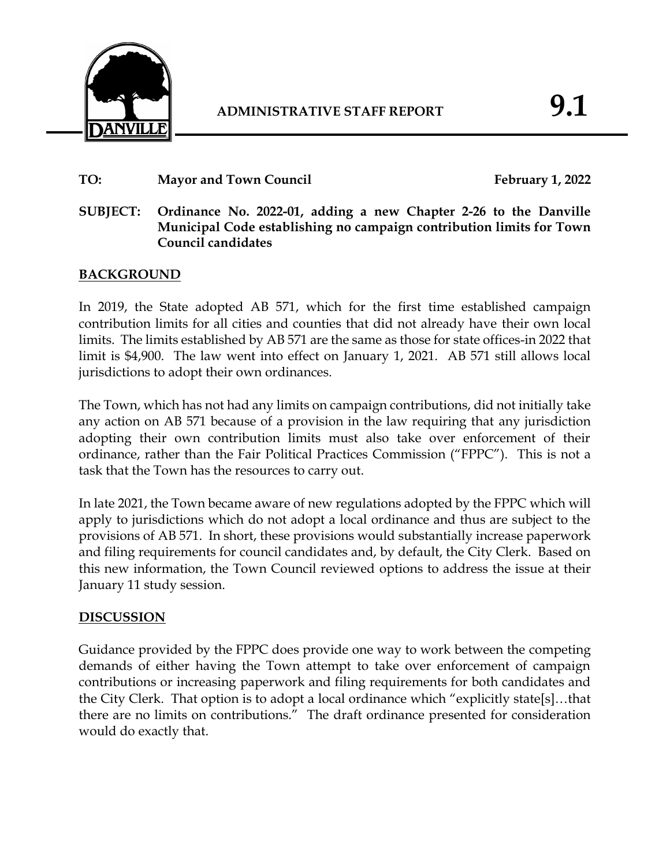

# TO: Mayor and Town Council **February 1, 2022**

# **SUBJECT: Ordinance No. 2022-01, adding a new Chapter 2-26 to the Danville Municipal Code establishing no campaign contribution limits for Town Council candidates**

# **BACKGROUND**

In 2019, the State adopted AB 571, which for the first time established campaign contribution limits for all cities and counties that did not already have their own local limits. The limits established by AB 571 are the same as those for state offices-in 2022 that limit is \$4,900. The law went into effect on January 1, 2021. AB 571 still allows local jurisdictions to adopt their own ordinances.

The Town, which has not had any limits on campaign contributions, did not initially take any action on AB 571 because of a provision in the law requiring that any jurisdiction adopting their own contribution limits must also take over enforcement of their ordinance, rather than the Fair Political Practices Commission ("FPPC"). This is not a task that the Town has the resources to carry out.

In late 2021, the Town became aware of new regulations adopted by the FPPC which will apply to jurisdictions which do not adopt a local ordinance and thus are subject to the provisions of AB 571. In short, these provisions would substantially increase paperwork and filing requirements for council candidates and, by default, the City Clerk. Based on this new information, the Town Council reviewed options to address the issue at their January 11 study session.

### **DISCUSSION**

Guidance provided by the FPPC does provide one way to work between the competing demands of either having the Town attempt to take over enforcement of campaign contributions or increasing paperwork and filing requirements for both candidates and the City Clerk. That option is to adopt a local ordinance which "explicitly state[s]…that there are no limits on contributions." The draft ordinance presented for consideration would do exactly that.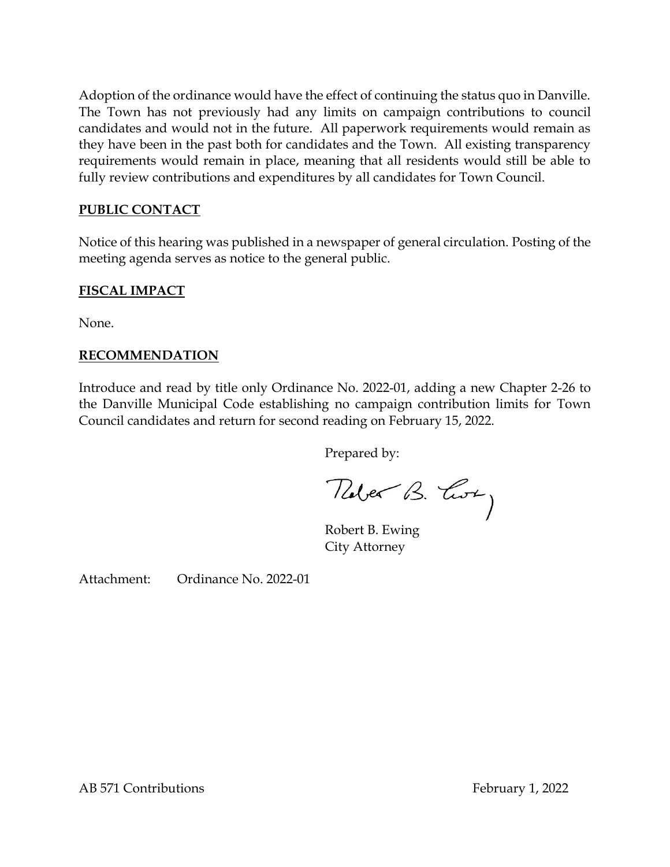Adoption of the ordinance would have the effect of continuing the status quo in Danville. The Town has not previously had any limits on campaign contributions to council candidates and would not in the future. All paperwork requirements would remain as they have been in the past both for candidates and the Town. All existing transparency requirements would remain in place, meaning that all residents would still be able to fully review contributions and expenditures by all candidates for Town Council.

## **PUBLIC CONTACT**

Notice of this hearing was published in a newspaper of general circulation. Posting of the meeting agenda serves as notice to the general public.

#### **FISCAL IMPACT**

None.

### **RECOMMENDATION**

Introduce and read by title only Ordinance No. 2022-01, adding a new Chapter 2-26 to the Danville Municipal Code establishing no campaign contribution limits for Town Council candidates and return for second reading on February 15, 2022.

Prepared by:

Tuber B. Corry

Robert B. Ewing City Attorney

Attachment: Ordinance No. 2022-01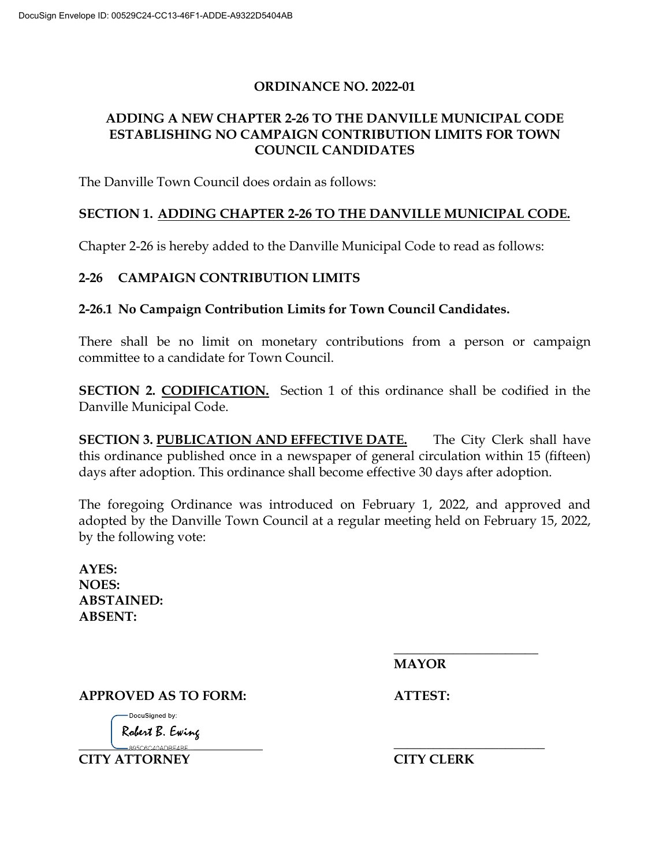### **ORDINANCE NO. 2022-01**

# **ADDING A NEW CHAPTER 2-26 TO THE DANVILLE MUNICIPAL CODE ESTABLISHING NO CAMPAIGN CONTRIBUTION LIMITS FOR TOWN COUNCIL CANDIDATES**

The Danville Town Council does ordain as follows:

## **SECTION 1. ADDING CHAPTER 2-26 TO THE DANVILLE MUNICIPAL CODE.**

Chapter 2-26 is hereby added to the Danville Municipal Code to read as follows:

#### **2-26 CAMPAIGN CONTRIBUTION LIMITS**

**2-26.1 No Campaign Contribution Limits for Town Council Candidates.**

There shall be no limit on monetary contributions from a person or campaign committee to a candidate for Town Council.

**SECTION 2. CODIFICATION.** Section 1 of this ordinance shall be codified in the Danville Municipal Code.

**SECTION 3. PUBLICATION AND EFFECTIVE DATE.** The City Clerk shall have this ordinance published once in a newspaper of general circulation within 15 (fifteen) days after adoption. This ordinance shall become effective 30 days after adoption.

The foregoing Ordinance was introduced on February 1, 2022, and approved and adopted by the Danville Town Council at a regular meeting held on February 15, 2022, by the following vote:

**AYES: NOES: ABSTAINED: ABSENT:**

> **\_\_\_\_\_\_\_\_\_\_\_\_\_\_\_\_\_\_\_\_\_\_ MAYOR**

**APPROVED AS TO FORM: ATTEST:**

DocuSigned by: Robert B. Ewing

 **\_\_\_\_\_\_\_\_\_\_\_\_\_\_\_\_\_\_\_\_\_\_\_ CITY ATTORNEY CITY CLERK**